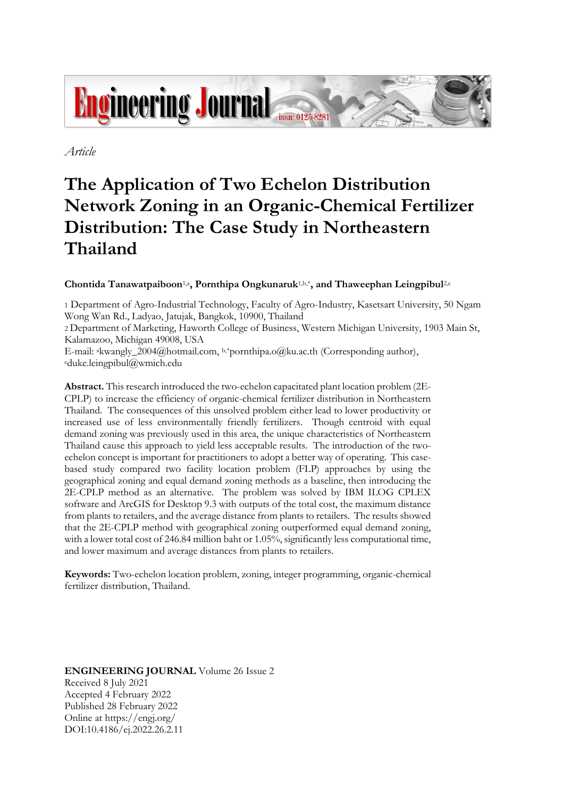

*Article*

# **The Application of Two Echelon Distribution Network Zoning in an Organic-Chemical Fertilizer Distribution: The Case Study in Northeastern Thailand**

# **Chontida Tanawatpaiboon**1,a**, Pornthipa Ongkunaruk**1,b,\***, and Thaweephan Leingpibul**2,c

1 Department of Agro-Industrial Technology, Faculty of Agro-Industry, Kasetsart University, 50 Ngam Wong Wan Rd., Ladyao, Jatujak, Bangkok, 10900, Thailand

2 Department of Marketing, Haworth College of Business, Western Michigan University, 1903 Main St, Kalamazoo, Michigan 49008, USA

E-mail: akwangly\_2004@hotmail.com, b,\*pornthipa.o@ku.ac.th (Corresponding author), <sup>c</sup>duke.leingpibul@wmich.edu

**Abstract.** This research introduced the two-echelon capacitated plant location problem (2E-CPLP) to increase the efficiency of organic-chemical fertilizer distribution in Northeastern Thailand. The consequences of this unsolved problem either lead to lower productivity or increased use of less environmentally friendly fertilizers. Though centroid with equal demand zoning was previously used in this area, the unique characteristics of Northeastern Thailand cause this approach to yield less acceptable results. The introduction of the twoechelon concept is important for practitioners to adopt a better way of operating. This casebased study compared two facility location problem (FLP) approaches by using the geographical zoning and equal demand zoning methods as a baseline, then introducing the 2E-CPLP method as an alternative. The problem was solved by IBM ILOG CPLEX software and ArcGIS for Desktop 9.3 with outputs of the total cost, the maximum distance from plants to retailers, and the average distance from plants to retailers. The results showed that the 2E-CPLP method with geographical zoning outperformed equal demand zoning, with a lower total cost of 246.84 million baht or 1.05%, significantly less computational time, and lower maximum and average distances from plants to retailers.

**Keywords:** Two-echelon location problem, zoning, integer programming, organic-chemical fertilizer distribution, Thailand.

**ENGINEERING JOURNAL** Volume 26 Issue 2 Received 8 July 2021 Accepted 4 February 2022 Published 28 February 2022 Online at https://engj.org/ DOI:10.4186/ej.2022.26.2.11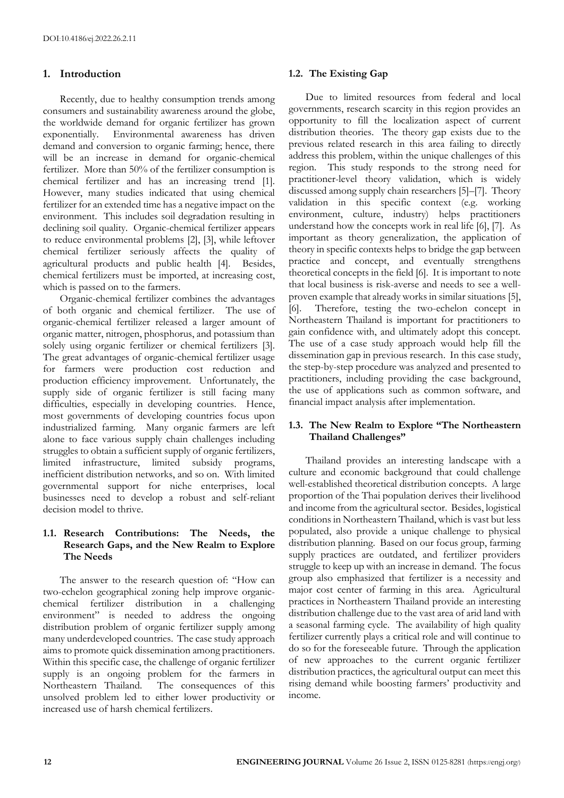# **1. Introduction**

Recently, due to healthy consumption trends among consumers and sustainability awareness around the globe, the worldwide demand for organic fertilizer has grown exponentially. Environmental awareness has driven demand and conversion to organic farming; hence, there will be an increase in demand for organic-chemical fertilizer. More than 50% of the fertilizer consumption is chemical fertilizer and has an increasing trend [1]. However, many studies indicated that using chemical fertilizer for an extended time has a negative impact on the environment. This includes soil degradation resulting in declining soil quality. Organic-chemical fertilizer appears to reduce environmental problems [2], [3], while leftover chemical fertilizer seriously affects the quality of agricultural products and public health [4]. Besides, chemical fertilizers must be imported, at increasing cost, which is passed on to the farmers.

Organic-chemical fertilizer combines the advantages of both organic and chemical fertilizer. The use of organic-chemical fertilizer released a larger amount of organic matter, nitrogen, phosphorus, and potassium than solely using organic fertilizer or chemical fertilizers [3]. The great advantages of organic-chemical fertilizer usage for farmers were production cost reduction and production efficiency improvement. Unfortunately, the supply side of organic fertilizer is still facing many difficulties, especially in developing countries. Hence, most governments of developing countries focus upon industrialized farming. Many organic farmers are left alone to face various supply chain challenges including struggles to obtain a sufficient supply of organic fertilizers, limited infrastructure, limited subsidy programs, inefficient distribution networks, and so on. With limited governmental support for niche enterprises, local businesses need to develop a robust and self-reliant decision model to thrive.

# **1.1. Research Contributions: The Needs, the Research Gaps, and the New Realm to Explore The Needs**

The answer to the research question of: "How can two-echelon geographical zoning help improve organicchemical fertilizer distribution in a challenging environment" is needed to address the ongoing distribution problem of organic fertilizer supply among many underdeveloped countries. The case study approach aims to promote quick dissemination among practitioners. Within this specific case, the challenge of organic fertilizer supply is an ongoing problem for the farmers in Northeastern Thailand. The consequences of this The consequences of this unsolved problem led to either lower productivity or increased use of harsh chemical fertilizers.

# **1.2. The Existing Gap**

Due to limited resources from federal and local governments, research scarcity in this region provides an opportunity to fill the localization aspect of current distribution theories. The theory gap exists due to the previous related research in this area failing to directly address this problem, within the unique challenges of this region. This study responds to the strong need for practitioner-level theory validation, which is widely discussed among supply chain researchers [5]–[7]. Theory validation in this specific context (e.g. working environment, culture, industry) helps practitioners understand how the concepts work in real life [6], [7]. As important as theory generalization, the application of theory in specific contexts helps to bridge the gap between practice and concept, and eventually strengthens theoretical concepts in the field [6]. It is important to note that local business is risk-averse and needs to see a wellproven example that already works in similar situations [5], [6]. Therefore, testing the two-echelon concept in Northeastern Thailand is important for practitioners to gain confidence with, and ultimately adopt this concept. The use of a case study approach would help fill the dissemination gap in previous research. In this case study, the step-by-step procedure was analyzed and presented to practitioners, including providing the case background, the use of applications such as common software, and financial impact analysis after implementation.

# **1.3. The New Realm to Explore "The Northeastern Thailand Challenges"**

Thailand provides an interesting landscape with a culture and economic background that could challenge well-established theoretical distribution concepts. A large proportion of the Thai population derives their livelihood and income from the agricultural sector. Besides, logistical conditions in Northeastern Thailand, which is vast but less populated, also provide a unique challenge to physical distribution planning. Based on our focus group, farming supply practices are outdated, and fertilizer providers struggle to keep up with an increase in demand. The focus group also emphasized that fertilizer is a necessity and major cost center of farming in this area. Agricultural practices in Northeastern Thailand provide an interesting distribution challenge due to the vast area of arid land with a seasonal farming cycle. The availability of high quality fertilizer currently plays a critical role and will continue to do so for the foreseeable future. Through the application of new approaches to the current organic fertilizer distribution practices, the agricultural output can meet this rising demand while boosting farmers' productivity and income.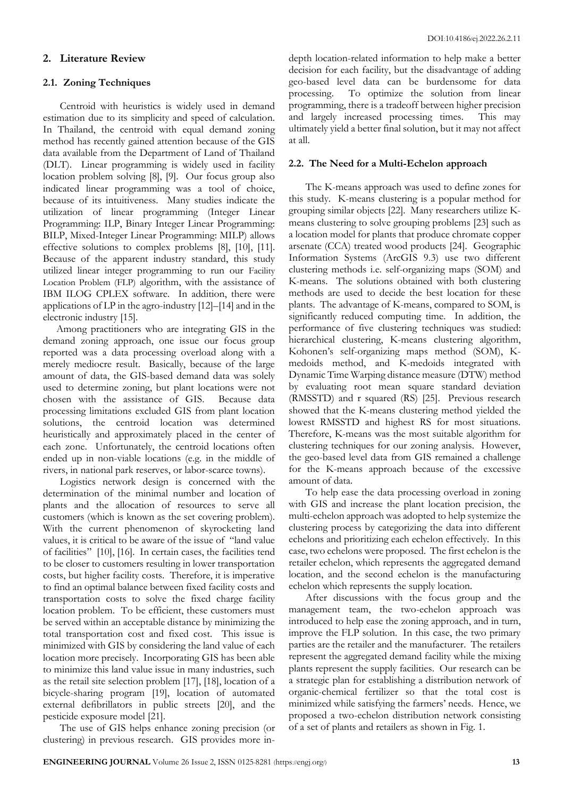## **2. Literature Review**

#### **2.1. Zoning Techniques**

Centroid with heuristics is widely used in demand estimation due to its simplicity and speed of calculation. In Thailand, the centroid with equal demand zoning method has recently gained attention because of the GIS data available from the Department of Land of Thailand (DLT). Linear programming is widely used in facility location problem solving [8], [9]. Our focus group also indicated linear programming was a tool of choice, because of its intuitiveness. Many studies indicate the utilization of linear programming (Integer Linear Programming: ILP, Binary Integer Linear Programming: BILP, Mixed-Integer Linear Programming: MILP) allows effective solutions to complex problems [8], [10], [11]. Because of the apparent industry standard, this study utilized linear integer programming to run our Facility Location Problem (FLP) algorithm, with the assistance of IBM ILOG CPLEX software. In addition, there were applications of LP in the agro-industry [12]–[14] and in the electronic industry [15].

Among practitioners who are integrating GIS in the demand zoning approach, one issue our focus group reported was a data processing overload along with a merely mediocre result. Basically, because of the large amount of data, the GIS-based demand data was solely used to determine zoning, but plant locations were not chosen with the assistance of GIS. Because data processing limitations excluded GIS from plant location solutions, the centroid location was determined heuristically and approximately placed in the center of each zone. Unfortunately, the centroid locations often ended up in non-viable locations (e.g. in the middle of rivers, in national park reserves, or labor-scarce towns).

Logistics network design is concerned with the determination of the minimal number and location of plants and the allocation of resources to serve all customers (which is known as the set covering problem). With the current phenomenon of skyrocketing land values, it is critical to be aware of the issue of "land value of facilities" [10], [16]. In certain cases, the facilities tend to be closer to customers resulting in lower transportation costs, but higher facility costs. Therefore, it is imperative to find an optimal balance between fixed facility costs and transportation costs to solve the fixed charge facility location problem. To be efficient, these customers must be served within an acceptable distance by minimizing the total transportation cost and fixed cost. This issue is minimized with GIS by considering the land value of each location more precisely. Incorporating GIS has been able to minimize this land value issue in many industries, such as the retail site selection problem [17], [18], location of a bicycle-sharing program [19], location of automated external defibrillators in public streets [20], and the pesticide exposure model [21].

The use of GIS helps enhance zoning precision (or clustering) in previous research. GIS provides more indepth location-related information to help make a better decision for each facility, but the disadvantage of adding geo-based level data can be burdensome for data processing. To optimize the solution from linear programming, there is a tradeoff between higher precision and largely increased processing times. This may ultimately yield a better final solution, but it may not affect at all.

#### **2.2. The Need for a Multi-Echelon approach**

The K-means approach was used to define zones for this study. K-means clustering is a popular method for grouping similar objects [22]. Many researchers utilize Kmeans clustering to solve grouping problems [23] such as a location model for plants that produce chromate copper arsenate (CCA) treated wood products [24]. Geographic Information Systems (ArcGIS 9.3) use two different clustering methods i.e. self-organizing maps (SOM) and K-means. The solutions obtained with both clustering methods are used to decide the best location for these plants. The advantage of K-means, compared to SOM, is significantly reduced computing time. In addition, the performance of five clustering techniques was studied: hierarchical clustering, K-means clustering algorithm, Kohonen's self-organizing maps method (SOM), Kmedoids method, and K-medoids integrated with Dynamic Time Warping distance measure (DTW) method by evaluating root mean square standard deviation (RMSSTD) and r squared (RS) [25]. Previous research showed that the K-means clustering method yielded the lowest RMSSTD and highest RS for most situations. Therefore, K-means was the most suitable algorithm for clustering techniques for our zoning analysis. However, the geo-based level data from GIS remained a challenge for the K-means approach because of the excessive amount of data.

To help ease the data processing overload in zoning with GIS and increase the plant location precision, the multi-echelon approach was adopted to help systemize the clustering process by categorizing the data into different echelons and prioritizing each echelon effectively. In this case, two echelons were proposed. The first echelon is the retailer echelon, which represents the aggregated demand location, and the second echelon is the manufacturing echelon which represents the supply location.

After discussions with the focus group and the management team, the two-echelon approach was introduced to help ease the zoning approach, and in turn, improve the FLP solution. In this case, the two primary parties are the retailer and the manufacturer. The retailers represent the aggregated demand facility while the mixing plants represent the supply facilities. Our research can be a strategic plan for establishing a distribution network of organic-chemical fertilizer so that the total cost is minimized while satisfying the farmers' needs. Hence, we proposed a two-echelon distribution network consisting of a set of plants and retailers as shown in Fig. 1.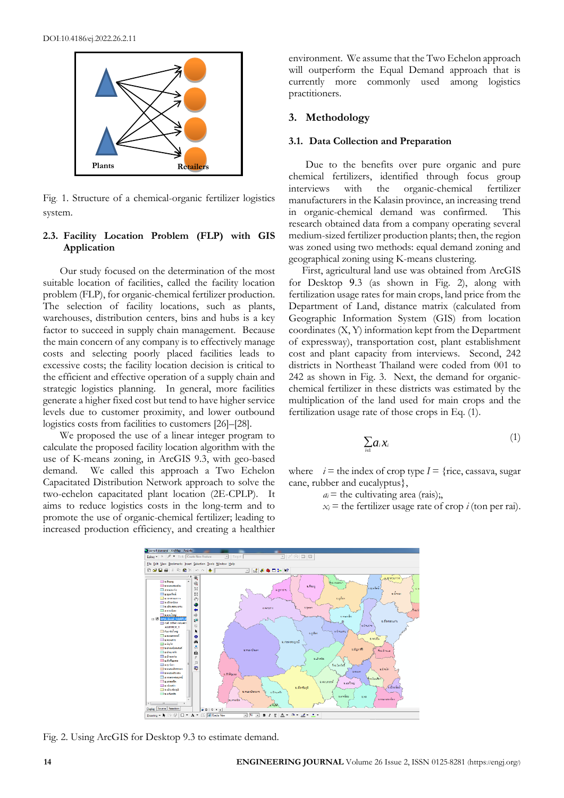

Fig. 1. Structure of a chemical-organic fertilizer logistics system.

## **2.3. Facility Location Problem (FLP) with GIS Application**

Our study focused on the determination of the most suitable location of facilities, called the facility location problem (FLP), for organic-chemical fertilizer production. The selection of facility locations, such as plants, warehouses, distribution centers, bins and hubs is a key factor to succeed in supply chain management. Because the main concern of any company is to effectively manage costs and selecting poorly placed facilities leads to excessive costs; the facility location decision is critical to the efficient and effective operation of a supply chain and strategic logistics planning. In general, more facilities generate a higher fixed cost but tend to have higher service levels due to customer proximity, and lower outbound logistics costs from facilities to customers [26]–[28].

We proposed the use of a linear integer program to calculate the proposed facility location algorithm with the use of K-means zoning, in ArcGIS 9.3, with geo-based demand. We called this approach a Two Echelon Capacitated Distribution Network approach to solve the two-echelon capacitated plant location (2E-CPLP). It aims to reduce logistics costs in the long-term and to promote the use of organic-chemical fertilizer; leading to increased production efficiency, and creating a healthier

environment. We assume that the Two Echelon approach will outperform the Equal Demand approach that is currently more commonly used among logistics practitioners.

## **3. Methodology**

#### **3.1. Data Collection and Preparation**

Due to the benefits over pure organic and pure chemical fertilizers, identified through focus group interviews with the organic-chemical fertilizer manufacturers in the Kalasin province, an increasing trend in organic-chemical demand was confirmed. This research obtained data from a company operating several medium-sized fertilizer production plants; then, the region was zoned using two methods: equal demand zoning and geographical zoning using K-means clustering.

First, agricultural land use was obtained from ArcGIS for Desktop 9.3 (as shown in Fig. 2), along with fertilization usage rates for main crops, land price from the Department of Land, distance matrix (calculated from Geographic Information System (GIS) from location coordinates (X, Y) information kept from the Department of expressway), transportation cost, plant establishment cost and plant capacity from interviews. Second, 242 districts in Northeast Thailand were coded from 001 to 242 as shown in Fig. 3. Next, the demand for organicchemical fertilizer in these districts was estimated by the multiplication of the land used for main crops and the fertilization usage rate of those crops in Eq. (1).

$$
\sum_{i\in I} a_i x_i \tag{1}
$$

where  $i =$  the index of crop type  $I =$  {rice, cassava, sugar cane, rubber and eucalyptus},

 $a_i$  = the cultivating area (rais);

 $x_i$  = the fertilizer usage rate of crop *i* (ton per rai).



Fig. 2. Using ArcGIS for Desktop 9.3 to estimate demand.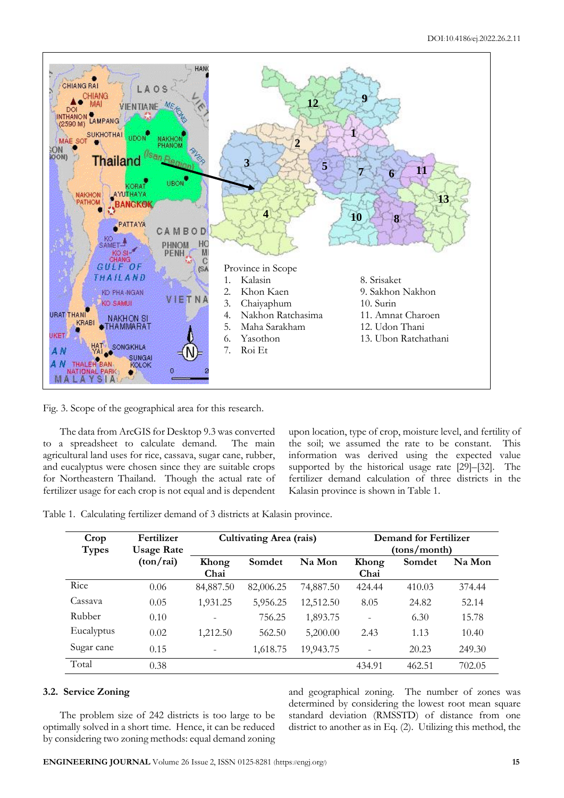

Fig. 3. Scope of the geographical area for this research.

The data from ArcGIS for Desktop 9.3 was converted to a spreadsheet to calculate demand. The main agricultural land uses for rice, cassava, sugar cane, rubber, and eucalyptus were chosen since they are suitable crops for Northeastern Thailand. Though the actual rate of fertilizer usage for each crop is not equal and is dependent upon location, type of crop, moisture level, and fertility of the soil; we assumed the rate to be constant. This information was derived using the expected value supported by the historical usage rate [29]–[32]. The fertilizer demand calculation of three districts in the Kalasin province is shown in Table 1.

Table 1. Calculating fertilizer demand of 3 districts at Kalasin province.

| Crop<br><b>Types</b> | Fertilizer<br><b>Usage Rate</b> | <b>Cultivating Area (rais)</b> |           |           | <b>Demand for Fertilizer</b><br>(tons/month) |        |        |  |
|----------------------|---------------------------------|--------------------------------|-----------|-----------|----------------------------------------------|--------|--------|--|
|                      | (ton/rai)                       | Khong<br>Chai                  | Somdet    | Na Mon    | Khong<br>Chai                                | Somdet | Na Mon |  |
| Rice                 | 0.06                            | 84,887.50                      | 82,006.25 | 74,887.50 | 424.44                                       | 410.03 | 374.44 |  |
| Cassava              | 0.05                            | 1,931.25                       | 5,956.25  | 12,512.50 | 8.05                                         | 24.82  | 52.14  |  |
| Rubber               | 0.10                            | $\overline{\phantom{a}}$       | 756.25    | 1,893.75  | $\overline{\phantom{a}}$                     | 6.30   | 15.78  |  |
| Eucalyptus           | 0.02                            | 1,212.50                       | 562.50    | 5,200.00  | 2.43                                         | 1.13   | 10.40  |  |
| Sugar cane           | 0.15                            |                                | 1,618.75  | 19,943.75 | $\overline{\phantom{a}}$                     | 20.23  | 249.30 |  |
| Total                | 0.38                            |                                |           |           | 434.91                                       | 462.51 | 702.05 |  |

# **3.2. Service Zoning**

The problem size of 242 districts is too large to be optimally solved in a short time. Hence, it can be reduced by considering two zoning methods: equal demand zoning and geographical zoning. The number of zones was determined by considering the lowest root mean square standard deviation (RMSSTD) of distance from one district to another as in Eq. (2). Utilizing this method, the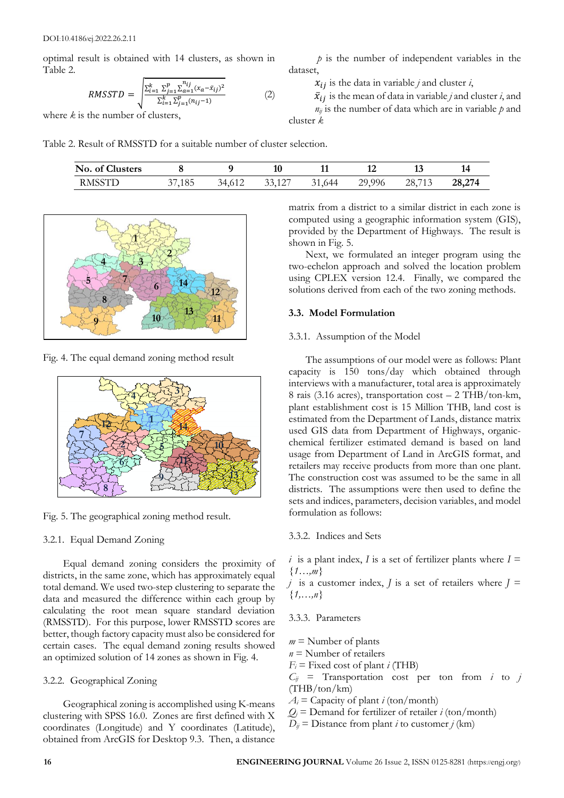optimal result is obtained with 14 clusters, as shown in Table 2.

$$
RMSSTD = \sqrt{\frac{\sum_{i=1}^{k} \sum_{j=1}^{p} \sum_{a=1}^{n_{ij}} (x_a - \bar{x}_{ij})^2}{\sum_{i=1}^{k} \sum_{j=1}^{p} (n_{ij} - 1)}}
$$
(2)

where *k* is the number of clusters,

Table 2. Result of RMSSTD for a suitable number of cluster selection.

| No. of Clusters |        |        |        |        |        |        |        |
|-----------------|--------|--------|--------|--------|--------|--------|--------|
| <b>RMSSTD</b>   | 37,185 | 34,612 | 33,127 | 31,644 | 29,996 | 28,713 | 28,274 |

dataset,

cluster *k*



Fig. 4. The equal demand zoning method result



Fig. 5. The geographical zoning method result.

#### 3.2.1. Equal Demand Zoning

Equal demand zoning considers the proximity of districts, in the same zone, which has approximately equal total demand. We used two-step clustering to separate the data and measured the difference within each group by calculating the root mean square standard deviation (RMSSTD). For this purpose, lower RMSSTD scores are better, though factory capacity must also be considered for certain cases. The equal demand zoning results showed an optimized solution of 14 zones as shown in Fig. 4.

#### 3.2.2. Geographical Zoning

Geographical zoning is accomplished using K-means clustering with SPSS 16.0. Zones are first defined with X coordinates (Longitude) and Y coordinates (Latitude), obtained from ArcGIS for Desktop 9.3. Then, a distance

matrix from a district to a similar district in each zone is computed using a geographic information system (GIS), provided by the Department of Highways. The result is shown in Fig. 5.

*p* is the number of independent variables in the

 $\bar{x}_{ij}$  is the mean of data in variable *j* and cluster *i*, and  $n_{ij}$  is the number of data which are in variable  $p$  and

 $x_{ij}$  is the data in variable *j* and cluster *i*,

Next, we formulated an integer program using the two-echelon approach and solved the location problem using CPLEX version 12.4. Finally, we compared the solutions derived from each of the two zoning methods.

#### **3.3. Model Formulation**

#### 3.3.1. Assumption of the Model

The assumptions of our model were as follows: Plant capacity is 150 tons/day which obtained through interviews with a manufacturer, total area is approximately 8 rais (3.16 acres), transportation cost – 2 THB/ton-km, plant establishment cost is 15 Million THB, land cost is estimated from the Department of Lands, distance matrix used GIS data from Department of Highways, organicchemical fertilizer estimated demand is based on land usage from Department of Land in ArcGIS format, and retailers may receive products from more than one plant. The construction cost was assumed to be the same in all districts. The assumptions were then used to define the sets and indices, parameters, decision variables, and model formulation as follows:

#### 3.3.2. Indices and Sets

*i* is a plant index, *I* is a set of fertilizer plants where  $I =$ *{1…,m}*

*j* is a customer index, *J* is a set of retailers where  $J =$ *{1,…,n}*

## 3.3.3. Parameters

- $m =$ Number of plants
- *n* = Number of retailers
- $F_i$  = Fixed cost of plant *i* (THB)
- $C_{ij}$  = Transportation cost per ton from *i* to *j*  $(THB/ton/km)$
- $A_i$  = Capacity of plant *i* (ton/month)
- $Q_i$  = Demand for fertilizer of retailer *i* (ton/month)
- $D_{ij}$  = Distance from plant *i* to customer *j* (km)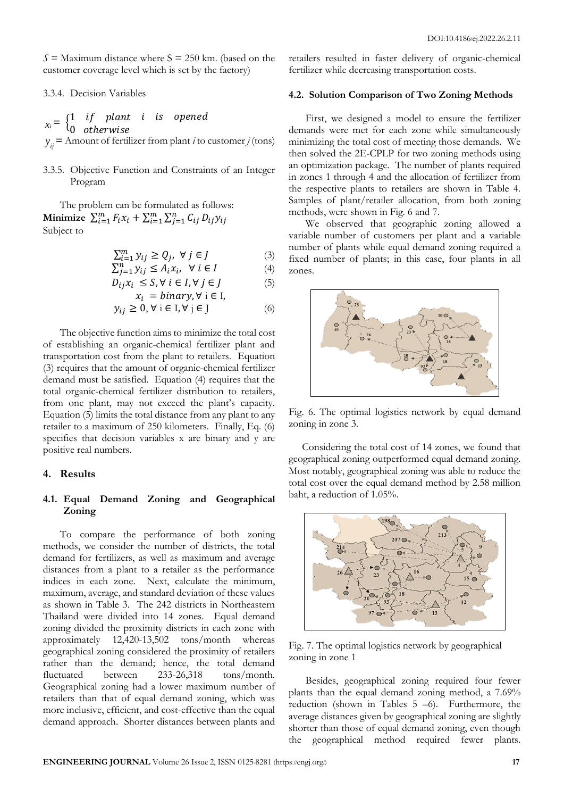$S =$  Maximum distance where  $S = 250$  km. (based on the customer coverage level which is set by the factory)

#### 3.3.4. Decision Variables

 $x_i = \begin{cases} 1 & if \text{ plant } i \text{ is opened} \\ 0 & if \text{ at least } i \text{ is opened} \end{cases}$ 0 otherwise *yij* **=** Amount of fertilizer from plant *i* to customer *j* (tons)

3.3.5. Objective Function and Constraints of an Integer Program

The problem can be formulated as follows: **Minimize**  $\sum_{i=1}^{m} F_i x_i + \sum_{i=1}^{m} \sum_{j=1}^{n} C_{ij} D_{ij} y_{ij}$ Subject to

$$
\sum_{i=1}^{m} y_{ij} \ge Q_j, \ \forall \ j \in J \tag{3}
$$

$$
\sum_{j=1}^{n} y_{ij} \le A_i x_i, \ \forall \ i \in I \tag{4}
$$

$$
D_{ij}x_i \leq S, \forall i \in I, \forall j \in J \tag{5}
$$

$$
x_i = binary, \forall i \in I,
$$
  

$$
y_{ij} \ge 0, \forall i \in I, \forall j \in J
$$
 (6)

The objective function aims to minimize the total cost of establishing an organic-chemical fertilizer plant and transportation cost from the plant to retailers. Equation (3) requires that the amount of organic-chemical fertilizer demand must be satisfied. Equation (4) requires that the total organic-chemical fertilizer distribution to retailers, from one plant, may not exceed the plant's capacity. Equation (5) limits the total distance from any plant to any retailer to a maximum of 250 kilometers. Finally, Eq. (6) specifies that decision variables x are binary and y are positive real numbers.

## **4. Results**

## **4.1. Equal Demand Zoning and Geographical Zoning**

To compare the performance of both zoning methods, we consider the number of districts, the total demand for fertilizers, as well as maximum and average distances from a plant to a retailer as the performance indices in each zone. Next, calculate the minimum, maximum, average, and standard deviation of these values as shown in Table 3. The 242 districts in Northeastern Thailand were divided into 14 zones. Equal demand zoning divided the proximity districts in each zone with approximately 12,420-13,502 tons/month whereas geographical zoning considered the proximity of retailers rather than the demand; hence, the total demand fluctuated between 233-26,318 tons/month. Geographical zoning had a lower maximum number of retailers than that of equal demand zoning, which was more inclusive, efficient, and cost-effective than the equal demand approach. Shorter distances between plants and

retailers resulted in faster delivery of organic-chemical fertilizer while decreasing transportation costs.

#### **4.2. Solution Comparison of Two Zoning Methods**

First, we designed a model to ensure the fertilizer demands were met for each zone while simultaneously minimizing the total cost of meeting those demands. We then solved the 2E-CPLP for two zoning methods using an optimization package. The number of plants required in zones 1 through 4 and the allocation of fertilizer from the respective plants to retailers are shown in Table 4. Samples of plant/retailer allocation, from both zoning methods, were shown in Fig. 6 and 7.

We observed that geographic zoning allowed a variable number of customers per plant and a variable number of plants while equal demand zoning required a fixed number of plants; in this case, four plants in all zones.



Fig. 6. The optimal logistics network by equal demand zoning in zone 3.

Considering the total cost of 14 zones, we found that geographical zoning outperformed equal demand zoning. Most notably, geographical zoning was able to reduce the total cost over the equal demand method by 2.58 million baht, a reduction of 1.05%.



Fig. 7. The optimal logistics network by geographical zoning in zone 1

Besides, geographical zoning required four fewer plants than the equal demand zoning method, a 7.69% reduction (shown in Tables 5 –6). Furthermore, the average distances given by geographical zoning are slightly shorter than those of equal demand zoning, even though the geographical method required fewer plants.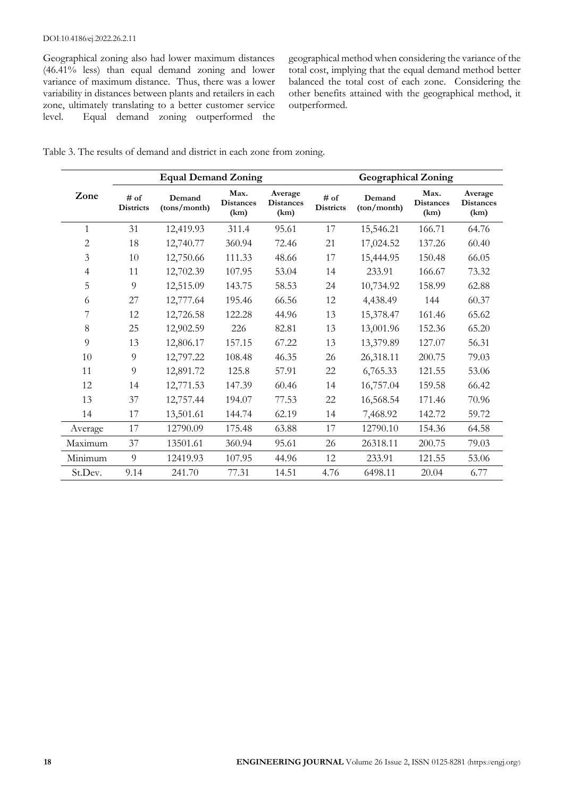#### DOI:10.4186/ej.2022.26.2.11

Geographical zoning also had lower maximum distances (46.41% less) than equal demand zoning and lower variance of maximum distance. Thus, there was a lower variability in distances between plants and retailers in each zone, ultimately translating to a better customer service level. Equal demand zoning outperformed the

geographical method when considering the variance of the total cost, implying that the equal demand method better balanced the total cost of each zone. Considering the other benefits attained with the geographical method, it outperformed.

| Table 3. The results of demand and district in each zone from zoning. |  |  |  |  |  |
|-----------------------------------------------------------------------|--|--|--|--|--|
|                                                                       |  |  |  |  |  |

|         |                          | <b>Equal Demand Zoning</b> |                                  |                                     | <b>Geographical Zoning</b> |                       |                                  |                                     |  |
|---------|--------------------------|----------------------------|----------------------------------|-------------------------------------|----------------------------|-----------------------|----------------------------------|-------------------------------------|--|
| Zone    | # of<br><b>Districts</b> | Demand<br>(tons/month)     | Max.<br><b>Distances</b><br>(km) | Average<br><b>Distances</b><br>(km) | # of<br><b>Districts</b>   | Demand<br>(ton/month) | Max.<br><b>Distances</b><br>(km) | Average<br><b>Distances</b><br>(km) |  |
| 1       | 31                       | 12,419.93                  | 311.4                            | 95.61                               | 17                         | 15,546.21             | 166.71                           | 64.76                               |  |
| 2       | 18                       | 12,740.77                  | 360.94                           | 72.46                               | 21                         | 17,024.52             | 137.26                           | 60.40                               |  |
| 3       | 10                       | 12,750.66                  | 111.33                           | 48.66                               | 17                         | 15,444.95             | 150.48                           | 66.05                               |  |
| 4       | 11                       | 12,702.39                  | 107.95                           | 53.04                               | 14                         | 233.91                | 166.67                           | 73.32                               |  |
| 5       | 9                        | 12,515.09                  | 143.75                           | 58.53                               | 24                         | 10,734.92             | 158.99                           | 62.88                               |  |
| 6       | 27                       | 12,777.64                  | 195.46                           | 66.56                               | 12                         | 4,438.49              | 144                              | 60.37                               |  |
| 7       | 12                       | 12,726.58                  | 122.28                           | 44.96                               | 13                         | 15,378.47             | 161.46                           | 65.62                               |  |
| 8       | 25                       | 12,902.59                  | 226                              | 82.81                               | 13                         | 13,001.96             | 152.36                           | 65.20                               |  |
| 9       | 13                       | 12,806.17                  | 157.15                           | 67.22                               | 13                         | 13,379.89             | 127.07                           | 56.31                               |  |
| 10      | 9                        | 12,797.22                  | 108.48                           | 46.35                               | 26                         | 26,318.11             | 200.75                           | 79.03                               |  |
| 11      | 9                        | 12,891.72                  | 125.8                            | 57.91                               | 22                         | 6,765.33              | 121.55                           | 53.06                               |  |
| 12      | 14                       | 12,771.53                  | 147.39                           | 60.46                               | 14                         | 16,757.04             | 159.58                           | 66.42                               |  |
| 13      | 37                       | 12,757.44                  | 194.07                           | 77.53                               | 22                         | 16,568.54             | 171.46                           | 70.96                               |  |
| 14      | 17                       | 13,501.61                  | 144.74                           | 62.19                               | 14                         | 7,468.92              | 142.72                           | 59.72                               |  |
| Average | 17                       | 12790.09                   | 175.48                           | 63.88                               | 17                         | 12790.10              | 154.36                           | 64.58                               |  |
| Maximum | 37                       | 13501.61                   | 360.94                           | 95.61                               | 26                         | 26318.11              | 200.75                           | 79.03                               |  |
| Minimum | 9                        | 12419.93                   | 107.95                           | 44.96                               | 12                         | 233.91                | 121.55                           | 53.06                               |  |
| St.Dev. | 9.14                     | 241.70                     | 77.31                            | 14.51                               | 4.76                       | 6498.11               | 20.04                            | 6.77                                |  |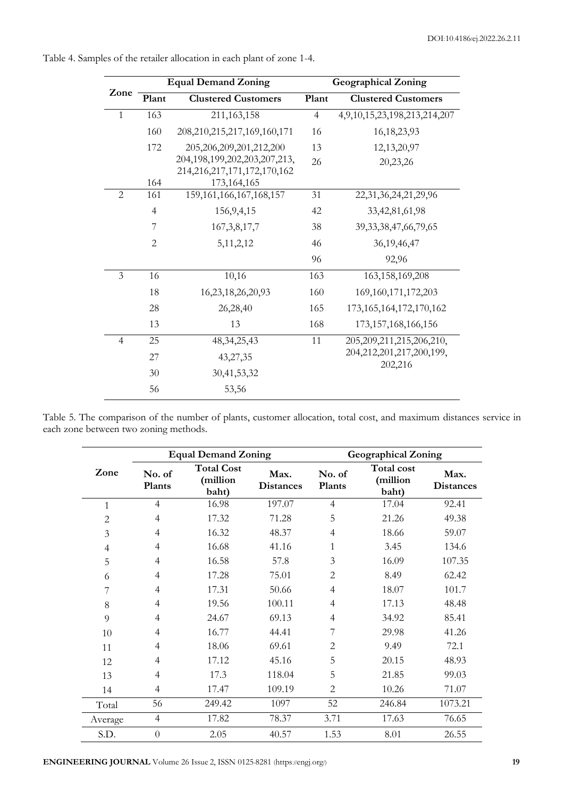| <b>Equal Demand Zoning</b> |                |                                                  | <b>Geographical Zoning</b> |                                          |  |  |  |
|----------------------------|----------------|--------------------------------------------------|----------------------------|------------------------------------------|--|--|--|
| Zone                       | Plant          | <b>Clustered Customers</b>                       | Plant                      | <b>Clustered Customers</b>               |  |  |  |
| $\mathbf{1}$               | 163            | 211,163,158                                      | $\overline{4}$             | 4,9,10,15,23,198,213,214,207             |  |  |  |
|                            | 160            | 208, 210, 215, 217, 169, 160, 171                | 16                         | 16, 18, 23, 93                           |  |  |  |
|                            | 172            | 205,206,209,201,212,200                          | 13                         | 12,13,20,97                              |  |  |  |
|                            |                | 204, 198, 199, 202, 203, 207, 213,               | 26                         | 20,23,26                                 |  |  |  |
|                            | 164            | 214, 216, 217, 171, 172, 170, 162<br>173,164,165 |                            |                                          |  |  |  |
| $\overline{2}$             | 161            | 159, 161, 166, 167, 168, 157                     | 31                         | 22, 31, 36, 24, 21, 29, 96               |  |  |  |
|                            | $\overline{4}$ | 156, 9, 4, 15                                    | 42                         | 33,42,81,61,98                           |  |  |  |
|                            | 7              | 167, 3, 8, 17, 7                                 | 38                         | 39, 33, 38, 47, 66, 79, 65               |  |  |  |
|                            | $\overline{2}$ | 5, 11, 2, 12                                     | 46                         | 36, 19, 46, 47                           |  |  |  |
|                            |                |                                                  | 96                         | 92,96                                    |  |  |  |
| 3                          | 16             | 10,16                                            | 163                        | 163, 158, 169, 208                       |  |  |  |
|                            | 18             | 16,23,18,26,20,93                                | 160                        | 169, 160, 171, 172, 203                  |  |  |  |
|                            | 28             | 26,28,40                                         | 165                        | 173, 165, 164, 172, 170, 162             |  |  |  |
|                            | 13             | 13                                               | 168                        | 173, 157, 168, 166, 156                  |  |  |  |
| $\overline{4}$             | 25             | 48, 34, 25, 43                                   | 11                         | 205, 209, 211, 215, 206, 210,            |  |  |  |
|                            | 27             | 43,27,35                                         |                            | 204, 212, 201, 217, 200, 199,<br>202,216 |  |  |  |
|                            | 30             | 30,41,53,32                                      |                            |                                          |  |  |  |
|                            | 56             | 53,56                                            |                            |                                          |  |  |  |

Table 4. Samples of the retailer allocation in each plant of zone 1-4.

Table 5. The comparison of the number of plants, customer allocation, total cost, and maximum distances service in each zone between two zoning methods.

|                |                  | <b>Equal Demand Zoning</b>             |                          | <b>Geographical Zoning</b> |                                 |                          |  |
|----------------|------------------|----------------------------------------|--------------------------|----------------------------|---------------------------------|--------------------------|--|
| Zone           | No. of<br>Plants | <b>Total Cost</b><br>(million<br>baht) | Max.<br><b>Distances</b> | No. of<br>Plants           | Total cost<br>(million<br>baht) | Max.<br><b>Distances</b> |  |
| $\mathbf{1}$   | $\overline{4}$   | 16.98                                  | 197.07                   | $\overline{4}$             | 17.04                           | 92.41                    |  |
| $\overline{2}$ | $\overline{4}$   | 17.32                                  | 71.28                    | 5                          | 21.26                           | 49.38                    |  |
| 3              | $\overline{4}$   | 16.32                                  | 48.37                    | $\overline{4}$             | 18.66                           | 59.07                    |  |
| $\overline{4}$ | $\overline{4}$   | 16.68                                  | 41.16                    | 1                          | 3.45                            | 134.6                    |  |
| 5              | $\overline{4}$   | 16.58                                  | 57.8                     | 3                          | 16.09                           | 107.35                   |  |
| 6              | $\overline{4}$   | 17.28                                  | 75.01                    | $\mathbf{2}$               | 8.49                            | 62.42                    |  |
| 7              | $\overline{4}$   | 17.31                                  | 50.66                    | 4                          | 18.07                           | 101.7                    |  |
| 8              | $\overline{4}$   | 19.56                                  | 100.11                   | $\overline{4}$             | 17.13                           | 48.48                    |  |
| 9              | 4                | 24.67                                  | 69.13                    | $\overline{4}$             | 34.92                           | 85.41                    |  |
| 10             | 4                | 16.77                                  | 44.41                    |                            | 29.98                           | 41.26                    |  |
| 11             | 4                | 18.06                                  | 69.61                    | $\overline{2}$             | 9.49                            | 72.1                     |  |
| 12             | 4                | 17.12                                  | 45.16                    | 5                          | 20.15                           | 48.93                    |  |
| 13             | $\overline{4}$   | 17.3                                   | 118.04                   | 5                          | 21.85                           | 99.03                    |  |
| 14             | 4                | 17.47                                  | 109.19                   | $\overline{2}$             | 10.26                           | 71.07                    |  |
| Total          | 56               | 249.42                                 | 1097                     | 52                         | 246.84                          | 1073.21                  |  |
| Average        | $\overline{4}$   | 17.82                                  | 78.37                    | 3.71                       | 17.63                           | 76.65                    |  |
| S.D.           | $\theta$         | 2.05                                   | 40.57                    | 1.53                       | 8.01                            | 26.55                    |  |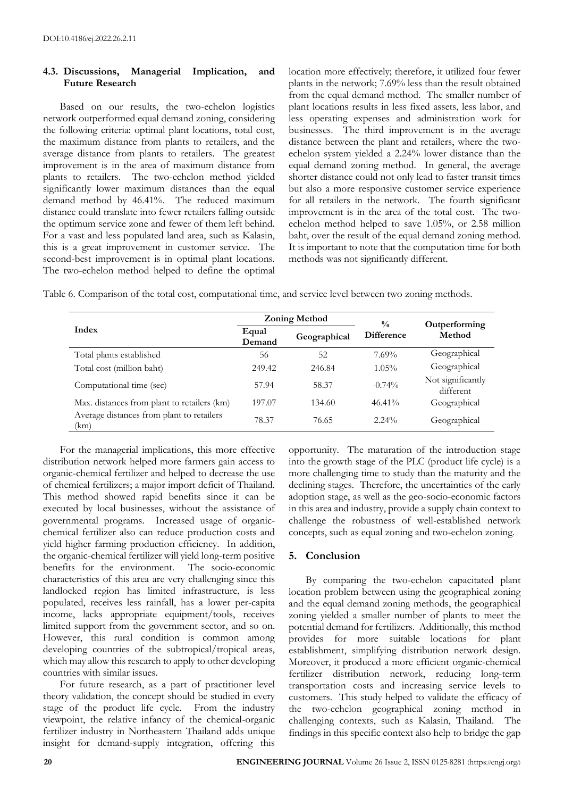## **4.3. Discussions, Managerial Implication, and Future Research**

Based on our results, the two-echelon logistics network outperformed equal demand zoning, considering the following criteria: optimal plant locations, total cost, the maximum distance from plants to retailers, and the average distance from plants to retailers. The greatest improvement is in the area of maximum distance from plants to retailers. The two-echelon method yielded significantly lower maximum distances than the equal demand method by 46.41%. The reduced maximum distance could translate into fewer retailers falling outside the optimum service zone and fewer of them left behind. For a vast and less populated land area, such as Kalasin, this is a great improvement in customer service. The second-best improvement is in optimal plant locations. The two-echelon method helped to define the optimal location more effectively; therefore, it utilized four fewer plants in the network; 7.69% less than the result obtained from the equal demand method. The smaller number of plant locations results in less fixed assets, less labor, and less operating expenses and administration work for businesses. The third improvement is in the average distance between the plant and retailers, where the twoechelon system yielded a 2.24% lower distance than the equal demand zoning method. In general, the average shorter distance could not only lead to faster transit times but also a more responsive customer service experience for all retailers in the network. The fourth significant improvement is in the area of the total cost. The twoechelon method helped to save 1.05%, or 2.58 million baht, over the result of the equal demand zoning method. It is important to note that the computation time for both methods was not significantly different.

Table 6. Comparison of the total cost, computational time, and service level between two zoning methods.

|                                                   |                 | <b>Zoning Method</b> | $\frac{0}{0}$     | Outperforming<br>Method        |  |
|---------------------------------------------------|-----------------|----------------------|-------------------|--------------------------------|--|
| Index                                             | Equal<br>Demand | Geographical         | <b>Difference</b> |                                |  |
| Total plants established                          | 56              | 52                   | $7.69\%$          | Geographical                   |  |
| Total cost (million baht)                         | 249.42          | 246.84               | $1.05\%$          | Geographical                   |  |
| Computational time (sec)                          | 57.94           | 58.37                | $-0.74%$          | Not significantly<br>different |  |
| Max. distances from plant to retailers (km)       | 197.07          | 134.60               | $46.41\%$         | Geographical                   |  |
| Average distances from plant to retailers<br>(km) | 78.37           | 76.65                | $2.24\%$          | Geographical                   |  |

For the managerial implications, this more effective distribution network helped more farmers gain access to organic-chemical fertilizer and helped to decrease the use of chemical fertilizers; a major import deficit of Thailand. This method showed rapid benefits since it can be executed by local businesses, without the assistance of governmental programs. Increased usage of organicchemical fertilizer also can reduce production costs and yield higher farming production efficiency. In addition, the organic-chemical fertilizer will yield long-term positive benefits for the environment. The socio-economic characteristics of this area are very challenging since this landlocked region has limited infrastructure, is less populated, receives less rainfall, has a lower per-capita income, lacks appropriate equipment/tools, receives limited support from the government sector, and so on. However, this rural condition is common among developing countries of the subtropical/tropical areas, which may allow this research to apply to other developing countries with similar issues.

For future research, as a part of practitioner level theory validation, the concept should be studied in every stage of the product life cycle. From the industry viewpoint, the relative infancy of the chemical-organic fertilizer industry in Northeastern Thailand adds unique insight for demand-supply integration, offering this

opportunity. The maturation of the introduction stage into the growth stage of the PLC (product life cycle) is a more challenging time to study than the maturity and the declining stages. Therefore, the uncertainties of the early adoption stage, as well as the geo-socio-economic factors in this area and industry, provide a supply chain context to challenge the robustness of well-established network concepts, such as equal zoning and two-echelon zoning.

# **5. Conclusion**

By comparing the two-echelon capacitated plant location problem between using the geographical zoning and the equal demand zoning methods, the geographical zoning yielded a smaller number of plants to meet the potential demand for fertilizers. Additionally, this method provides for more suitable locations for plant establishment, simplifying distribution network design. Moreover, it produced a more efficient organic-chemical fertilizer distribution network, reducing long-term transportation costs and increasing service levels to customers. This study helped to validate the efficacy of the two-echelon geographical zoning method in challenging contexts, such as Kalasin, Thailand. The findings in this specific context also help to bridge the gap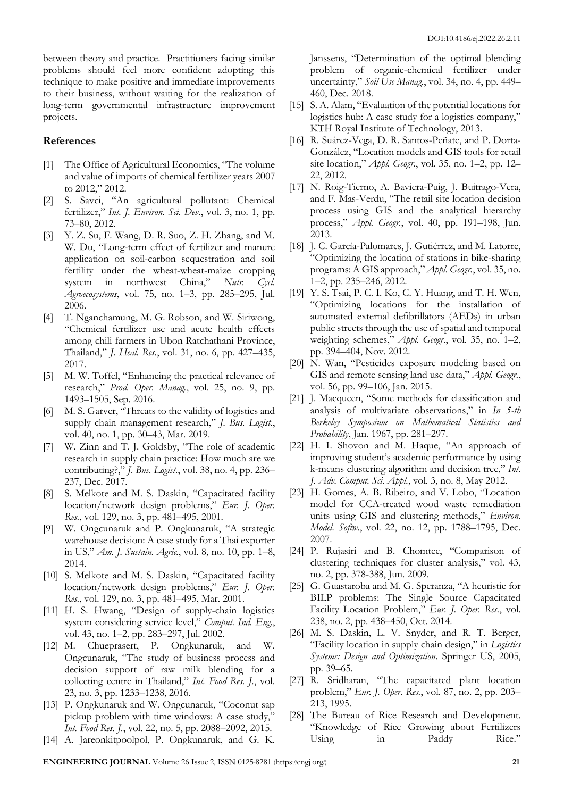between theory and practice. Practitioners facing similar problems should feel more confident adopting this technique to make positive and immediate improvements to their business, without waiting for the realization of long-term governmental infrastructure improvement projects.

## **References**

- [1] The Office of Agricultural Economics, "The volume and value of imports of chemical fertilizer years 2007 to 2012," 2012.
- [2] S. Savci, "An agricultural pollutant: Chemical fertilizer," *Int. J. Environ. Sci. Dev.*, vol. 3, no. 1, pp. 73–80, 2012.
- [3] Y. Z. Su, F. Wang, D. R. Suo, Z. H. Zhang, and M. W. Du, "Long-term effect of fertilizer and manure application on soil-carbon sequestration and soil fertility under the wheat-wheat-maize cropping system in northwest China," *Nutr. Cycl. Agroecosystems*, vol. 75, no. 1–3, pp. 285–295, Jul. 2006.
- [4] T. Nganchamung, M. G. Robson, and W. Siriwong, "Chemical fertilizer use and acute health effects among chili farmers in Ubon Ratchathani Province, Thailand," *J. Heal. Res.*, vol. 31, no. 6, pp. 427–435, 2017.
- [5] M. W. Toffel, "Enhancing the practical relevance of research," *Prod. Oper. Manag.*, vol. 25, no. 9, pp. 1493–1505, Sep. 2016.
- [6] M. S. Garver, "Threats to the validity of logistics and supply chain management research," *J. Bus. Logist.*, vol. 40, no. 1, pp. 30–43, Mar. 2019.
- [7] W. Zinn and T. J. Goldsby, "The role of academic research in supply chain practice: How much are we contributing?," *J. Bus. Logist.*, vol. 38, no. 4, pp. 236– 237, Dec. 2017.
- [8] S. Melkote and M. S. Daskin, "Capacitated facility location/network design problems," *Eur. J. Oper. Res.*, vol. 129, no. 3, pp. 481–495, 2001.
- [9] W. Ongcunaruk and P. Ongkunaruk, "A strategic warehouse decision: A case study for a Thai exporter in US," *Am. J. Sustain. Agric.*, vol. 8, no. 10, pp. 1–8, 2014.
- [10] S. Melkote and M. S. Daskin, "Capacitated facility location/network design problems," *Eur. J. Oper. Res.*, vol. 129, no. 3, pp. 481–495, Mar. 2001.
- [11] H. S. Hwang, "Design of supply-chain logistics system considering service level," *Comput. Ind. Eng.*, vol. 43, no. 1–2, pp. 283–297, Jul. 2002.
- [12] M. Chueprasert, P. Ongkunaruk, and W. Ongcunaruk, "The study of business process and decision support of raw milk blending for a collecting centre in Thailand," *Int. Food Res. J.*, vol. 23, no. 3, pp. 1233–1238, 2016.
- [13] P. Ongkunaruk and W. Ongcunaruk, "Coconut sap pickup problem with time windows: A case study," *Int. Food Res. J.*, vol. 22, no. 5, pp. 2088–2092, 2015.
- [14] A. Jareonkitpoolpol, P. Ongkunaruk, and G. K.

Janssens, "Determination of the optimal blending problem of organic-chemical fertilizer under uncertainty," *Soil Use Manag.*, vol. 34, no. 4, pp. 449– 460, Dec. 2018.

- [15] S. A. Alam, "Evaluation of the potential locations for logistics hub: A case study for a logistics company," KTH Royal Institute of Technology, 2013.
- [16] R. Suárez-Vega, D. R. Santos-Peñate, and P. Dorta-González, "Location models and GIS tools for retail site location," *Appl. Geogr.*, vol. 35, no. 1–2, pp. 12– 22, 2012.
- [17] N. Roig-Tierno, A. Baviera-Puig, J. Buitrago-Vera, and F. Mas-Verdu, "The retail site location decision process using GIS and the analytical hierarchy process," *Appl. Geogr.*, vol. 40, pp. 191–198, Jun. 2013.
- [18] J. C. García-Palomares, J. Gutiérrez, and M. Latorre, "Optimizing the location of stations in bike-sharing programs: A GIS approach," *Appl. Geogr.*, vol. 35, no. 1–2, pp. 235–246, 2012.
- [19] Y. S. Tsai, P. C. I. Ko, C. Y. Huang, and T. H. Wen, "Optimizing locations for the installation of automated external defibrillators (AEDs) in urban public streets through the use of spatial and temporal weighting schemes," *Appl. Geogr.*, vol. 35, no. 1–2, pp. 394–404, Nov. 2012.
- [20] N. Wan, "Pesticides exposure modeling based on GIS and remote sensing land use data," *Appl. Geogr.*, vol. 56, pp. 99–106, Jan. 2015.
- [21] J. Macqueen, "Some methods for classification and analysis of multivariate observations," in *In 5-th Berkeley Symposium on Mathematical Statistics and Probability*, Jan. 1967, pp. 281–297.
- [22] H. I. Shovon and M. Haque, "An approach of improving student's academic performance by using k-means clustering algorithm and decision tree," *Int. J. Adv. Comput. Sci. Appl.*, vol. 3, no. 8, May 2012.
- [23] H. Gomes, A. B. Ribeiro, and V. Lobo, "Location model for CCA-treated wood waste remediation units using GIS and clustering methods," *Environ. Model. Softw.*, vol. 22, no. 12, pp. 1788–1795, Dec. 2007.
- [24] P. Rujasiri and B. Chomtee, "Comparison of clustering techniques for cluster analysis," vol. 43, no. 2, pp. 378-388, Jun. 2009.
- [25] G. Guastaroba and M. G. Speranza, "A heuristic for BILP problems: The Single Source Capacitated Facility Location Problem," *Eur. J. Oper. Res.*, vol. 238, no. 2, pp. 438–450, Oct. 2014.
- [26] M. S. Daskin, L. V. Snyder, and R. T. Berger, "Facility location in supply chain design," in *Logistics Systems: Design and Optimization*. Springer US, 2005, pp. 39–65.
- [27] R. Sridharan, "The capacitated plant location problem," *Eur. J. Oper. Res.*, vol. 87, no. 2, pp. 203– 213, 1995.
- [28] The Bureau of Rice Research and Development. "Knowledge of Rice Growing about Fertilizers Using in Paddy Rice."